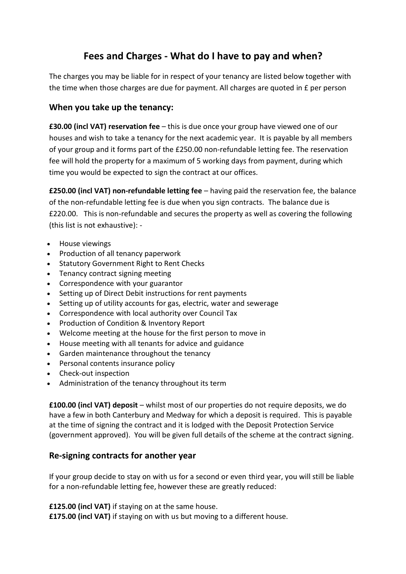## **Fees and Charges - What do I have to pay and when?**

The charges you may be liable for in respect of your tenancy are listed below together with the time when those charges are due for payment. All charges are quoted in £ per person

## **When you take up the tenancy:**

**£30.00 (incl VAT) reservation fee** – this is due once your group have viewed one of our houses and wish to take a tenancy for the next academic year. It is payable by all members of your group and it forms part of the £250.00 non-refundable letting fee. The reservation fee will hold the property for a maximum of 5 working days from payment, during which time you would be expected to sign the contract at our offices.

**£250.00 (incl VAT) non-refundable letting fee** – having paid the reservation fee, the balance of the non-refundable letting fee is due when you sign contracts. The balance due is £220.00. This is non-refundable and secures the property as well as covering the following (this list is not exhaustive): -

- House viewings
- Production of all tenancy paperwork
- Statutory Government Right to Rent Checks
- Tenancy contract signing meeting
- Correspondence with your guarantor
- Setting up of Direct Debit instructions for rent payments
- Setting up of utility accounts for gas, electric, water and sewerage
- Correspondence with local authority over Council Tax
- Production of Condition & Inventory Report
- Welcome meeting at the house for the first person to move in
- House meeting with all tenants for advice and guidance
- Garden maintenance throughout the tenancy
- Personal contents insurance policy
- Check-out inspection
- Administration of the tenancy throughout its term

**£100.00 (incl VAT) deposit** – whilst most of our properties do not require deposits, we do have a few in both Canterbury and Medway for which a deposit is required. This is payable at the time of signing the contract and it is lodged with the Deposit Protection Service (government approved). You will be given full details of the scheme at the contract signing.

## **Re-signing contracts for another year**

If your group decide to stay on with us for a second or even third year, you will still be liable for a non-refundable letting fee, however these are greatly reduced:

**£125.00 (incl VAT)** if staying on at the same house.

**£175.00 (incl VAT)** if staying on with us but moving to a different house.